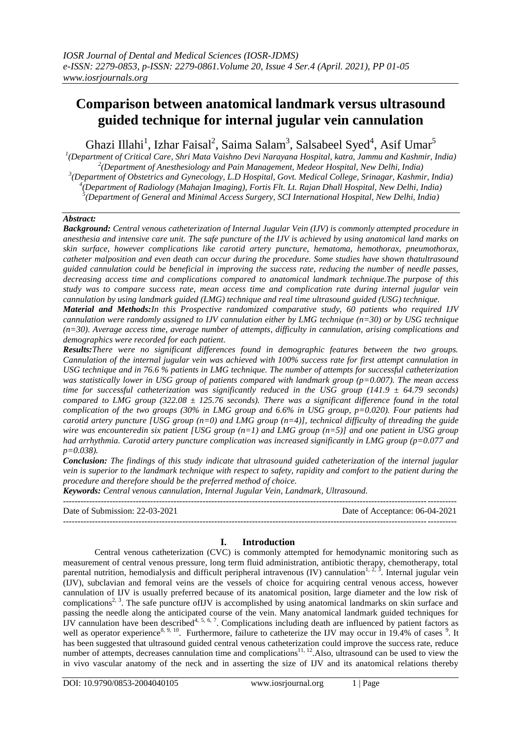# **Comparison between anatomical landmark versus ultrasound guided technique for internal jugular vein cannulation**

Ghazi Illahi<sup>1</sup>, Izhar Faisal<sup>2</sup>, Saima Salam<sup>3</sup>, Salsabeel Syed<sup>4</sup>, Asif Umar<sup>5</sup>

 *(Department of Critical Care, Shri Mata Vaishno Devi Narayana Hospital, katra, Jammu and Kashmir, India) (Department of Anesthesiology and Pain Management, Medeor Hospital, New Delhi, India) (Department of Obstetrics and Gynecology, L.D Hospital, Govt. Medical College, Srinagar, Kashmir, India) (Department of Radiology (Mahajan Imaging), Fortis Flt. Lt. Rajan Dhall Hospital, New Delhi, India) (Department of General and Minimal Access Surgery, SCI International Hospital, New Delhi, India)*

# *Abstract:*

*Background: Central venous catheterization of Internal Jugular Vein (IJV) is commonly attempted procedure in anesthesia and intensive care unit. The safe puncture of the IJV is achieved by using anatomical land marks on skin surface, however complications like carotid artery puncture, hematoma, hemothorax, pneumothorax, catheter malposition and even death can occur during the procedure. Some studies have shown thatultrasound guided cannulation could be beneficial in improving the success rate, reducing the number of needle passes, decreasing access time and complications compared to anatomical landmark technique.The purpose of this study was to compare success rate, mean access time and complication rate during internal jugular vein cannulation by using landmark guided (LMG) technique and real time ultrasound guided (USG) technique.*

*Material and Methods:In this Prospective randomized comparative study, 60 patients who required IJV cannulation were randomly assigned to IJV cannulation either by LMG technique (n=30) or by USG technique (n=30). Average access time, average number of attempts, difficulty in cannulation, arising complications and demographics were recorded for each patient.*

*Results:There were no significant differences found in demographic features between the two groups. Cannulation of the internal jugular vein was achieved with 100% success rate for first attempt cannulation in USG technique and in 76.6 % patients in LMG technique. The number of attempts for successful catheterization was statistically lower in USG group of patients compared with landmark group (p=0.007). The mean access time for successful catheterization was significantly reduced in the USG group (141.9 ± 64.79 seconds) compared to LMG group (322.08 ± 125.76 seconds). There was a significant difference found in the total complication of the two groups (30% in LMG group and 6.6% in USG group, p=0.020). Four patients had carotid artery puncture [USG group (n=0) and LMG group (n=4)], technical difficulty of threading the guide wire was encounteredin six patient [USG group (n=1) and LMG group (n=5)] and one patient in USG group had arrhythmia. Carotid artery puncture complication was increased significantly in LMG group (p=0.077 and p=0.038).*

*Conclusion: The findings of this study indicate that ultrasound guided catheterization of the internal jugular vein is superior to the landmark technique with respect to safety, rapidity and comfort to the patient during the procedure and therefore should be the preferred method of choice.*

*Keywords: Central venous cannulation, Internal Jugular Vein, Landmark, Ultrasound.*

| Date of Submission: 22-03-2021 | Date of Acceptance: 06-04-2021 |
|--------------------------------|--------------------------------|
|                                |                                |

# **I. Introduction**

Central venous catheterization (CVC) is commonly attempted for hemodynamic monitoring such as measurement of central venous pressure, long term fluid administration, antibiotic therapy, chemotherapy, total parental nutrition, hemodialysis and difficult peripheral intravenous (IV) cannulation<sup>1, 2, 3</sup>. Internal jugular vein (IJV), subclavian and femoral veins are the vessels of choice for acquiring central venous access, however cannulation of IJV is usually preferred because of its anatomical position, large diameter and the low risk of complications<sup>2, 3</sup>. The safe puncture of IJV is accomplished by using anatomical landmarks on skin surface and passing the needle along the anticipated course of the vein. Many anatomical landmark guided techniques for IJV cannulation have been described<sup>4, 5, 6, 7</sup>. Complications including death are influenced by patient factors as well as operator experience<sup>8, 9, 10</sup>. Furthermore, failure to catheterize the IJV may occur in 19.4% of cases <sup>9</sup>. It has been suggested that ultrasound guided central venous catheterization could improve the success rate, reduce number of attempts, decreases cannulation time and complications<sup>11, 12</sup>. Also, ultrasound can be used to view the in vivo vascular anatomy of the neck and in asserting the size of IJV and its anatomical relations thereby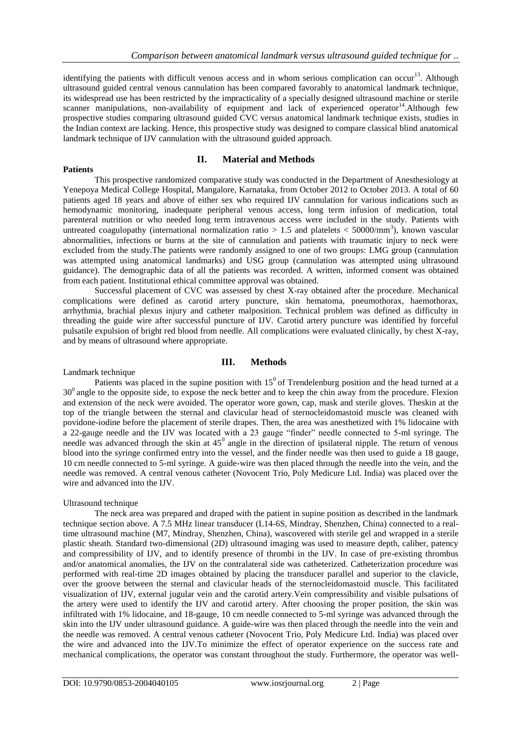identifying the patients with difficult venous access and in whom serious complication can occur<sup>13</sup>. Although ultrasound guided central venous cannulation has been compared favorably to anatomical landmark technique, its widespread use has been restricted by the impracticality of a specially designed ultrasound machine or sterile scanner manipulations, non-availability of equipment and lack of experienced operator<sup>14</sup>. Although few prospective studies comparing ultrasound guided CVC versus anatomical landmark technique exists, studies in the Indian context are lacking. Hence, this prospective study was designed to compare classical blind anatomical landmark technique of IJV cannulation with the ultrasound guided approach.

# **II. Material and Methods**

This prospective randomized comparative study was conducted in the Department of Anesthesiology at Yenepoya Medical College Hospital, Mangalore, Karnataka, from October 2012 to October 2013. A total of 60 patients aged 18 years and above of either sex who required IJV cannulation for various indications such as hemodynamic monitoring, inadequate peripheral venous access, long term infusion of medication, total parenteral nutrition or who needed long term intravenous access were included in the study. Patients with untreated coagulopathy (international normalization ratio  $> 1.5$  and platelets  $< 50000/\text{mm}^3$ ), known vascular abnormalities, infections or burns at the site of cannulation and patients with traumatic injury to neck were excluded from the study.The patients were randomly assigned to one of two groups: LMG group (cannulation was attempted using anatomical landmarks) and USG group (cannulation was attempted using ultrasound guidance). The demographic data of all the patients was recorded. A written, informed consent was obtained from each patient. Institutional ethical committee approval was obtained.

Successful placement of CVC was assessed by chest X-ray obtained after the procedure. Mechanical complications were defined as carotid artery puncture, skin hematoma, pneumothorax, haemothorax, arrhythmia, brachial plexus injury and catheter malposition. Technical problem was defined as difficulty in threading the guide wire after successful puncture of IJV. Carotid artery puncture was identified by forceful pulsatile expulsion of bright red blood from needle. All complications were evaluated clinically, by chest X-ray, and by means of ultrasound where appropriate.

# **III. Methods**

## Landmark technique

**Patients**

Patients was placed in the supine position with  $15^{\circ}$  of Trendelenburg position and the head turned at a 30<sup>0</sup> angle to the opposite side, to expose the neck better and to keep the chin away from the procedure. Flexion and extension of the neck were avoided. The operator wore gown, cap, mask and sterile gloves. Theskin at the top of the triangle between the sternal and clavicular head of sternocleidomastoid muscle was cleaned with povidone-iodine before the placement of sterile drapes. Then, the area was anesthetized with 1% lidocaine with a 22-gauge needle and the IJV was located with a 23 gauge "finder" needle connected to 5-ml syringe. The needle was advanced through the skin at  $45^{\circ}$  angle in the direction of ipsilateral nipple. The return of venous blood into the syringe confirmed entry into the vessel, and the finder needle was then used to guide a 18 gauge, 10 cm needle connected to 5-ml syringe. A guide-wire was then placed through the needle into the vein, and the needle was removed. A central venous catheter (Novocent Trio, Poly Medicure Ltd. India) was placed over the wire and advanced into the IJV.

## Ultrasound technique

The neck area was prepared and draped with the patient in supine position as described in the landmark technique section above. A 7.5 MHz linear transducer (L14-6S, Mindray, Shenzhen, China) connected to a realtime ultrasound machine (M7, Mindray, Shenzhen, China), wascovered with sterile gel and wrapped in a sterile plastic sheath. Standard two-dimensional (2D) ultrasound imaging was used to measure depth, caliber, patency and compressibility of IJV, and to identify presence of thrombi in the IJV. In case of pre-existing thrombus and/or anatomical anomalies, the IJV on the contralateral side was catheterized. Catheterization procedure was performed with real-time 2D images obtained by placing the transducer parallel and superior to the clavicle, over the groove between the sternal and clavicular heads of the sternocleidomastoid muscle. This facilitated visualization of IJV, external jugular vein and the carotid artery.Vein compressibility and visible pulsations of the artery were used to identify the IJV and carotid artery. After choosing the proper position, the skin was infiltrated with 1% lidocaine, and 18-gauge, 10 cm needle connected to 5-ml syringe was advanced through the skin into the IJV under ultrasound guidance. A guide-wire was then placed through the needle into the vein and the needle was removed. A central venous catheter (Novocent Trio, Poly Medicure Ltd. India) was placed over the wire and advanced into the IJV.To minimize the effect of operator experience on the success rate and mechanical complications, the operator was constant throughout the study. Furthermore, the operator was well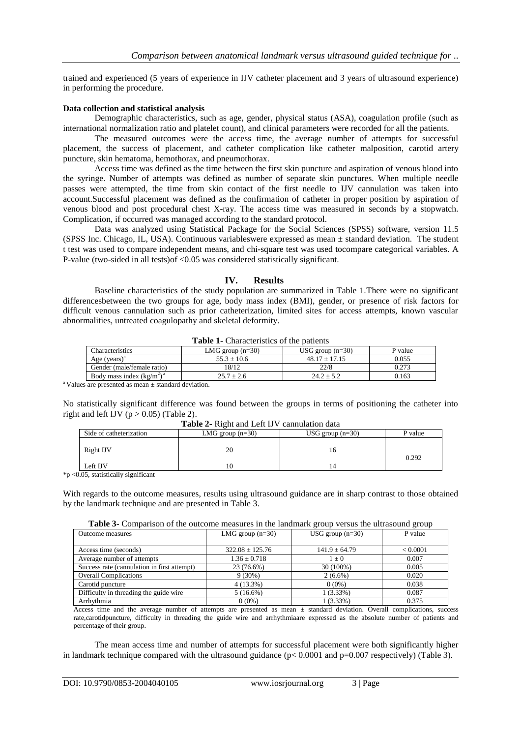trained and experienced (5 years of experience in IJV catheter placement and 3 years of ultrasound experience) in performing the procedure.

#### **Data collection and statistical analysis**

Demographic characteristics, such as age, gender, physical status (ASA), coagulation profile (such as international normalization ratio and platelet count), and clinical parameters were recorded for all the patients.

The measured outcomes were the access time, the average number of attempts for successful placement, the success of placement, and catheter complication like catheter malposition, carotid artery puncture, skin hematoma, hemothorax, and pneumothorax.

Access time was defined as the time between the first skin puncture and aspiration of venous blood into the syringe. Number of attempts was defined as number of separate skin punctures. When multiple needle passes were attempted, the time from skin contact of the first needle to IJV cannulation was taken into account.Successful placement was defined as the confirmation of catheter in proper position by aspiration of venous blood and post procedural chest X-ray. The access time was measured in seconds by a stopwatch. Complication, if occurred was managed according to the standard protocol.

Data was analyzed using Statistical Package for the Social Sciences (SPSS) software, version 11.5 (SPSS Inc. Chicago, IL, USA). Continuous variableswere expressed as mean ± standard deviation. The student t test was used to compare independent means, and chi-square test was used tocompare categorical variables. A P-value (two-sided in all tests)of <0.05 was considered statistically significant.

## **IV. Results**

Baseline characteristics of the study population are summarized in Table 1.There were no significant differencesbetween the two groups for age, body mass index (BMI), gender, or presence of risk factors for difficult venous cannulation such as prior catheterization, limited sites for access attempts, known vascular abnormalities, untreated coagulopathy and skeletal deformity.

| <b>THUICE</b> Characteristics of the battering |                    |                    |         |  |  |
|------------------------------------------------|--------------------|--------------------|---------|--|--|
| Characteristics                                | LMG group $(n=30)$ | USG group $(n=30)$ | P value |  |  |
| Age $(years)^a$                                | $55.3 \pm 10.6$    | $48.17 \pm 17.15$  | 0.055   |  |  |
| Gender (male/female ratio)                     | 8/12               | 22/8               | 0.273   |  |  |
| Body mass index $(kg/m2)a$                     | $25.7 \pm 2.6$     | $24.2 \pm 5.2$     | 0.163   |  |  |

**Table 1-** Characteristics of the patients

<sup>a</sup> Values are presented as mean  $\pm$  standard deviation.

No statistically significant difference was found between the groups in terms of positioning the catheter into right and left IJV ( $p > 0.05$ ) (Table 2).

| <b>Table 2-</b> Kight and ECR 19 V Cannulation data |                    |                    |         |  |  |
|-----------------------------------------------------|--------------------|--------------------|---------|--|--|
| Side of catheterization                             | LMG group $(n=30)$ | USG group $(n=30)$ | P value |  |  |
| Right IJV                                           | 20                 |                    | 0.292   |  |  |
| Left IJV                                            |                    |                    |         |  |  |
| $0.6$ statistically significant                     |                    |                    |         |  |  |

**Table 2-** Right and Left IJV cannulation data

 $*p$  <0.05, statistically significant

With regards to the outcome measures, results using ultrasound guidance are in sharp contrast to those obtained by the landmark technique and are presented in Table 3.

| <b>Outcome measures</b>                     | LMG group $(n=30)$  | USG group $(n=30)$ | P value  |
|---------------------------------------------|---------------------|--------------------|----------|
|                                             |                     |                    |          |
| Access time (seconds)                       | $322.08 \pm 125.76$ | $141.9 \pm 64.79$  | < 0.0001 |
| Average number of attempts                  | $1.36 \pm 0.718$    | $1 + 0$            | 0.007    |
| Success rate (cannulation in first attempt) | 23 (76.6%)          | 30 (100%)          | 0.005    |
| <b>Overall Complications</b>                | $9(30\%)$           | $2(6.6\%)$         | 0.020    |
| Carotid puncture                            | $4(13.3\%)$         | $0(0\%)$           | 0.038    |
| Difficulty in threading the guide wire.     | $5(16.6\%)$         | $1(3.33\%)$        | 0.087    |
| Arrhythmia                                  | $0(0\%)$            | $1(3.33\%)$        | 0.375    |

Access time and the average number of attempts are presented as mean  $\pm$  standard deviation. Overall complications, success rate,carotidpuncture, difficulty in threading the guide wire and arrhythmiaare expressed as the absolute number of patients and percentage of their group.

The mean access time and number of attempts for successful placement were both significantly higher in landmark technique compared with the ultrasound guidance  $(p< 0.0001$  and  $p=0.007$  respectively) (Table 3).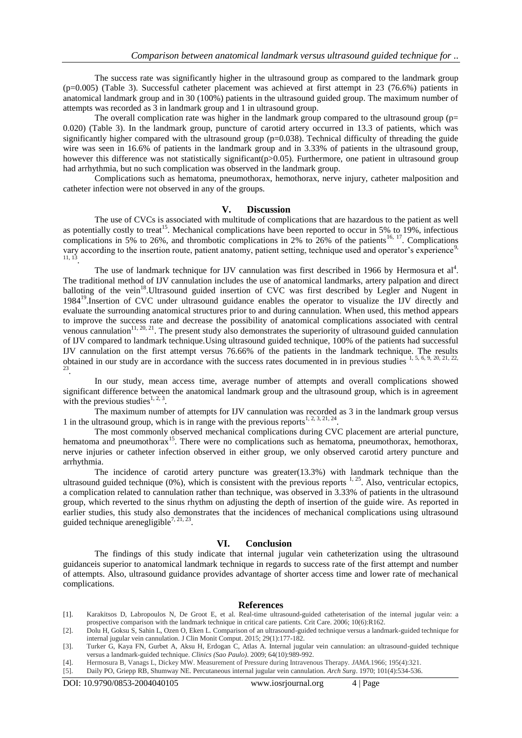The success rate was significantly higher in the ultrasound group as compared to the landmark group (p=0.005) (Table 3). Successful catheter placement was achieved at first attempt in 23 (76.6%) patients in anatomical landmark group and in 30 (100%) patients in the ultrasound guided group. The maximum number of attempts was recorded as 3 in landmark group and 1 in ultrasound group.

The overall complication rate was higher in the landmark group compared to the ultrasound group ( $p=$ 0.020) (Table 3). In the landmark group, puncture of carotid artery occurred in 13.3 of patients, which was significantly higher compared with the ultrasound group ( $p=0.038$ ). Technical difficulty of threading the guide wire was seen in 16.6% of patients in the landmark group and in 3.33% of patients in the ultrasound group, however this difference was not statistically significant( $p>0.05$ ). Furthermore, one patient in ultrasound group had arrhythmia, but no such complication was observed in the landmark group.

Complications such as hematoma, pneumothorax, hemothorax, nerve injury, catheter malposition and catheter infection were not observed in any of the groups.

#### **V. Discussion**

The use of CVCs is associated with multitude of complications that are hazardous to the patient as well as potentially costly to treat<sup>15</sup>. Mechanical complications have been reported to occur in 5% to 19%, infectious complications in 5% to 26%, and thrombotic complications in 2% to 26% of the patients<sup>16, 17</sup>. Complications vary according to the insertion route, patient anatomy, patient setting, technique used and operator's experience<sup>9,</sup> 11, 13 .

The use of landmark technique for IJV cannulation was first described in 1966 by Hermosura et al<sup>4</sup>. The traditional method of IJV cannulation includes the use of anatomical landmarks, artery palpation and direct balloting of the vein<sup>18</sup>. Ultrasound guided insertion of CVC was first described by Legler and Nugent in 1984<sup>19</sup>. Insertion of CVC under ultrasound guidance enables the operator to visualize the IJV directly and evaluate the surrounding anatomical structures prior to and during cannulation. When used, this method appears to improve the success rate and decrease the possibility of anatomical complications associated with central venous cannulation<sup>11, 20, 21</sup>. The present study also demonstrates the superiority of ultrasound guided cannulation of IJV compared to landmark technique.Using ultrasound guided technique, 100% of the patients had successful IJV cannulation on the first attempt versus 76.66% of the patients in the landmark technique. The results obtained in our study are in accordance with the success rates documented in in previous studies  $1, 5, 6, 9, 20, 21, 22, 23$ .

In our study, mean access time, average number of attempts and overall complications showed significant difference between the anatomical landmark group and the ultrasound group, which is in agreement with the previous studies<sup>1, 2, 3</sup>.

The maximum number of attempts for IJV cannulation was recorded as 3 in the landmark group versus 1 in the ultrasound group, which is in range with the previous reports<sup>1, 2, 3, 21, 24</sup>.

The most commonly observed mechanical complications during CVC placement are arterial puncture, hematoma and pneumothorax<sup>15</sup>. There were no complications such as hematoma, pneumothorax, hemothorax, nerve injuries or catheter infection observed in either group, we only observed carotid artery puncture and arrhythmia.

The incidence of carotid artery puncture was greater $(13.3\%)$  with landmark technique than the ultrasound guided technique  $(0\%)$ , which is consistent with the previous reports  $1, 25$ . Also, ventricular ectopics, a complication related to cannulation rather than technique, was observed in 3.33% of patients in the ultrasound group, which reverted to the sinus rhythm on adjusting the depth of insertion of the guide wire. As reported in earlier studies, this study also demonstrates that the incidences of mechanical complications using ultrasound guided technique arenegligible<sup>7, 21, 23</sup>.

#### **VI. Conclusion**

The findings of this study indicate that internal jugular vein catheterization using the ultrasound guidanceis superior to anatomical landmark technique in regards to success rate of the first attempt and number of attempts. Also, ultrasound guidance provides advantage of shorter access time and lower rate of mechanical complications.

#### **References**

- [1]. Karakitsos D, Labropoulos N, De Groot E, et al. Real-time ultrasound-guided catheterisation of the internal jugular vein: a prospective comparison with the landmark technique in critical care patients. Crit Care. 2006; 10(6):R162.
- [2]. Dolu H, Goksu S, Sahin L, Ozen O, Eken L. Comparison of an ultrasound-guided technique versus a landmark-guided technique for internal jugular vein cannulation. J Clin Monit Comput. 2015; 29(1):177-182.
- [3]. Turker G, Kaya FN, Gurbet A, Aksu H, Erdogan C, Atlas A. Internal jugular vein cannulation: an ultrasound-guided technique versus a landmark-guided technique. *Clinics (Sao Paulo)*. 2009; 64(10):989-992.
- [4]. Hermosura B, Vanags L, Dickey MW. Measurement of Pressure during Intravenous Therapy. *JAMA.*1966; 195(4):321.
- [5]. Daily PO, Griepp RB, Shumway NE. Percutaneous internal jugular vein cannulation. *Arch Surg*. 1970; 101(4):534-536.